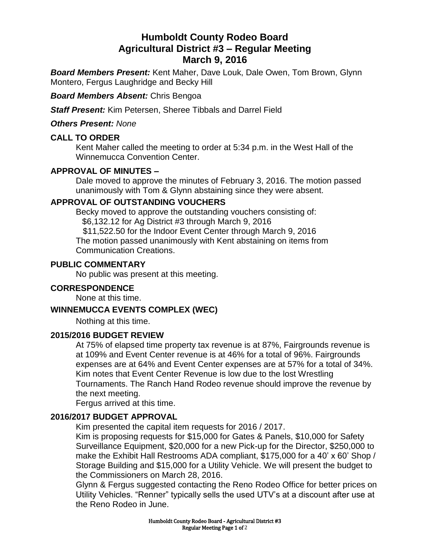# **Humboldt County Rodeo Board Agricultural District #3 – Regular Meeting March 9, 2016**

*Board Members Present:* Kent Maher, Dave Louk, Dale Owen, Tom Brown, Glynn Montero, Fergus Laughridge and Becky Hill

*Board Members Absent:* Chris Bengoa

*Staff Present:* Kim Petersen, Sheree Tibbals and Darrel Field

*Others Present: None*

### **CALL TO ORDER**

Kent Maher called the meeting to order at 5:34 p.m. in the West Hall of the Winnemucca Convention Center.

### **APPROVAL OF MINUTES –**

Dale moved to approve the minutes of February 3, 2016. The motion passed unanimously with Tom & Glynn abstaining since they were absent.

### **APPROVAL OF OUTSTANDING VOUCHERS**

Becky moved to approve the outstanding vouchers consisting of: \$6,132.12 for Ag District #3 through March 9, 2016

 \$11,522.50 for the Indoor Event Center through March 9, 2016 The motion passed unanimously with Kent abstaining on items from Communication Creations.

#### **PUBLIC COMMENTARY**

No public was present at this meeting.

#### **CORRESPONDENCE**

None at this time.

### **WINNEMUCCA EVENTS COMPLEX (WEC)**

Nothing at this time.

### **2015/2016 BUDGET REVIEW**

At 75% of elapsed time property tax revenue is at 87%, Fairgrounds revenue is at 109% and Event Center revenue is at 46% for a total of 96%. Fairgrounds expenses are at 64% and Event Center expenses are at 57% for a total of 34%. Kim notes that Event Center Revenue is low due to the lost Wrestling Tournaments. The Ranch Hand Rodeo revenue should improve the revenue by the next meeting.

Fergus arrived at this time.

### **2016/2017 BUDGET APPROVAL**

Kim presented the capital item requests for 2016 / 2017.

Kim is proposing requests for \$15,000 for Gates & Panels, \$10,000 for Safety Surveillance Equipment, \$20,000 for a new Pick-up for the Director, \$250,000 to make the Exhibit Hall Restrooms ADA compliant, \$175,000 for a 40' x 60' Shop / Storage Building and \$15,000 for a Utility Vehicle. We will present the budget to the Commissioners on March 28, 2016.

Glynn & Fergus suggested contacting the Reno Rodeo Office for better prices on Utility Vehicles. "Renner" typically sells the used UTV's at a discount after use at the Reno Rodeo in June.